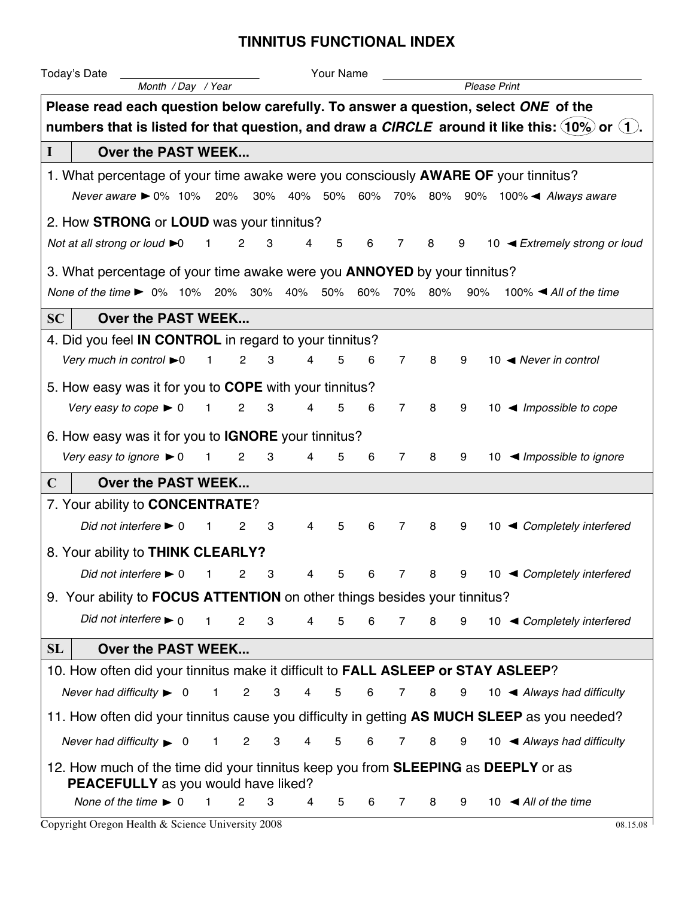## **TINNITUS FUNCTIONAL INDEX**

| Today's Date                                                                                                  |                    |                                |                              | Your Name                                       |   |                |   |                                           |                                                           |  |  |  |  |
|---------------------------------------------------------------------------------------------------------------|--------------------|--------------------------------|------------------------------|-------------------------------------------------|---|----------------|---|-------------------------------------------|-----------------------------------------------------------|--|--|--|--|
|                                                                                                               | Month / Day / Year |                                |                              |                                                 |   |                |   | <b>Please Print</b>                       |                                                           |  |  |  |  |
| Please read each question below carefully. To answer a question, select ONE of the                            |                    |                                |                              |                                                 |   |                |   |                                           |                                                           |  |  |  |  |
| numbers that is listed for that question, and draw a CIRCLE around it like this: $(10\%)$ or $(1)$ .          |                    |                                |                              |                                                 |   |                |   |                                           |                                                           |  |  |  |  |
| Over the PAST WEEK<br>L                                                                                       |                    |                                |                              |                                                 |   |                |   |                                           |                                                           |  |  |  |  |
| 1. What percentage of your time awake were you consciously AWARE OF your tinnitus?                            |                    |                                |                              |                                                 |   |                |   |                                           |                                                           |  |  |  |  |
| Never aware $▶ 0\% 10\% 20\%$                                                                                 |                    |                                |                              | 30% 40% 50% 60% 70% 80% 90% 100% ▲ Always aware |   |                |   |                                           |                                                           |  |  |  |  |
| 2. How STRONG or LOUD was your tinnitus?                                                                      |                    |                                |                              |                                                 |   |                |   |                                           |                                                           |  |  |  |  |
| Not at all strong or loud ▶0                                                                                  |                    | 2                              | 3                            | 5<br>4                                          | 6 | 7              | 8 | 9                                         | 10 <extremely loud<="" or="" strong="" td=""></extremely> |  |  |  |  |
| 3. What percentage of your time awake were you <b>ANNOYED</b> by your tinnitus?                               |                    |                                |                              |                                                 |   |                |   |                                           |                                                           |  |  |  |  |
| None of the time ▶ 0% 10% 20% 30% 40% 50% 60%<br>70%<br>80%<br>90%                                            |                    |                                |                              |                                                 |   |                |   | 100% $\blacktriangleleft$ All of the time |                                                           |  |  |  |  |
|                                                                                                               |                    |                                |                              |                                                 |   |                |   |                                           |                                                           |  |  |  |  |
| SC                                                                                                            | Over the PAST WEEK |                                |                              |                                                 |   |                |   |                                           |                                                           |  |  |  |  |
| 4. Did you feel <b>IN CONTROL</b> in regard to your tinnitus?<br>Very much in control $\blacktriangleright$ 0 |                    | $\overline{2}$<br>$\mathbf{1}$ | 3                            | 4<br>5                                          | 6 | $\overline{7}$ | 8 | 9                                         | 10 $\blacktriangleleft$ Never in control                  |  |  |  |  |
|                                                                                                               |                    |                                |                              |                                                 |   |                |   |                                           |                                                           |  |  |  |  |
| 5. How easy was it for you to <b>COPE</b> with your tinnitus?                                                 |                    |                                |                              |                                                 |   |                |   |                                           |                                                           |  |  |  |  |
| Very easy to cope $\blacktriangleright$ 0                                                                     |                    | $\mathbf{2}$<br>1              | 3                            | 5<br>4                                          | 6 | $\overline{7}$ | 8 | 9                                         | 10 $\blacktriangleleft$ Impossible to cope                |  |  |  |  |
| 6. How easy was it for you to <b>IGNORE</b> your tinnitus?                                                    |                    |                                |                              |                                                 |   |                |   |                                           |                                                           |  |  |  |  |
| Very easy to ignore $\blacktriangleright$ 0                                                                   |                    | 1<br>2                         | 3                            | 4<br>5                                          | 6 | $\overline{7}$ | 8 | 9                                         | 10 $\blacktriangleleft$ Impossible to ignore              |  |  |  |  |
| $\mathbf C$                                                                                                   | Over the PAST WEEK |                                |                              |                                                 |   |                |   |                                           |                                                           |  |  |  |  |
| 7. Your ability to <b>CONCENTRATE?</b>                                                                        |                    |                                |                              |                                                 |   |                |   |                                           |                                                           |  |  |  |  |
| Did not interfere $\blacktriangleright$ 0                                                                     |                    | 2<br>1                         | 3                            | 5<br>4                                          | 6 | $\overline{7}$ | 8 | 9                                         | ◀ Completely interfered<br>10                             |  |  |  |  |
| 8. Your ability to THINK CLEARLY?                                                                             |                    |                                |                              |                                                 |   |                |   |                                           |                                                           |  |  |  |  |
| Did not interfere $\blacktriangleright$ 0                                                                     |                    | 1 2 3                          |                              | $5 -$<br>$\overline{4}$                         | 6 |                |   |                                           | 7 8 9 10 < Completely interfered                          |  |  |  |  |
| 9. Your ability to FOCUS ATTENTION on other things besides your tinnitus?                                     |                    |                                |                              |                                                 |   |                |   |                                           |                                                           |  |  |  |  |
| Did not interfere $\blacktriangleright$ 0                                                                     |                    | $\mathbf{1}$<br>$\overline{2}$ | 3                            | 5<br>4                                          | 6 | $\overline{7}$ | 8 | 9                                         | 10 ◀ Completely interfered                                |  |  |  |  |
|                                                                                                               |                    |                                |                              |                                                 |   |                |   |                                           |                                                           |  |  |  |  |
| SL<br>Over the PAST WEEK                                                                                      |                    |                                |                              |                                                 |   |                |   |                                           |                                                           |  |  |  |  |
| 10. How often did your tinnitus make it difficult to FALL ASLEEP or STAY ASLEEP?                              |                    |                                |                              |                                                 |   |                |   |                                           |                                                           |  |  |  |  |
| Never had difficulty $\triangleright$ 0                                                                       |                    | $\overline{2}$<br>$\mathbf{1}$ | 3<br>$\overline{4}$          | $\overline{5}$                                  | 6 | $\overline{7}$ | 8 | 9                                         | 10 $\blacktriangleleft$ Always had difficulty             |  |  |  |  |
| 11. How often did your tinnitus cause you difficulty in getting AS MUCH SLEEP as you needed?                  |                    |                                |                              |                                                 |   |                |   |                                           |                                                           |  |  |  |  |
| Never had difficulty $\triangleright$ 0                                                                       |                    | $\mathbf{2}$<br>$\mathbf{1}$   | 3<br>$\overline{\mathbf{4}}$ | $\overline{5}$                                  | 6 | 7              | 8 | 9                                         | 10 $\blacktriangleleft$ Always had difficulty             |  |  |  |  |
| 12. How much of the time did your tinnitus keep you from <b>SLEEPING</b> as <b>DEEPLY</b> or as               |                    |                                |                              |                                                 |   |                |   |                                           |                                                           |  |  |  |  |
| PEACEFULLY as you would have liked?                                                                           |                    |                                |                              |                                                 |   |                |   |                                           |                                                           |  |  |  |  |
| None of the time $\blacktriangleright$ 0                                                                      |                    | $\mathbf{1}$<br>$\overline{2}$ | 3                            | 4<br>5                                          | 6 | 7              | 8 | 9                                         | 10 $\triangleleft$ All of the time                        |  |  |  |  |